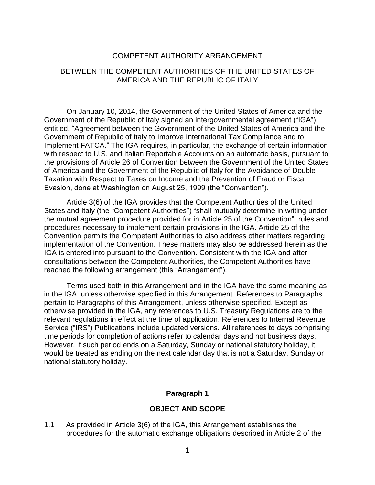### COMPETENT AUTHORITY ARRANGEMENT

### BETWEEN THE COMPETENT AUTHORITIES OF THE UNITED STATES OF AMERICA AND THE REPUBLIC OF ITALY

On January 10, 2014, the Government of the United States of America and the Government of the Republic of Italy signed an intergovernmental agreement ("IGA") entitled, "Agreement between the Government of the United States of America and the Government of Republic of Italy to Improve International Tax Compliance and to Implement FATCA." The IGA requires, in particular, the exchange of certain information with respect to U.S. and Italian Reportable Accounts on an automatic basis, pursuant to the provisions of Article 26 of Convention between the Government of the United States of America and the Government of the Republic of Italy for the Avoidance of Double Taxation with Respect to Taxes on Income and the Prevention of Fraud or Fiscal Evasion, done at Washington on August 25, 1999 (the "Convention").

Article 3(6) of the IGA provides that the Competent Authorities of the United States and Italy (the "Competent Authorities") "shall mutually determine in writing under the mutual agreement procedure provided for in Article 25 of the Convention", rules and procedures necessary to implement certain provisions in the IGA. Article 25 of the Convention permits the Competent Authorities to also address other matters regarding implementation of the Convention. These matters may also be addressed herein as the IGA is entered into pursuant to the Convention. Consistent with the IGA and after consultations between the Competent Authorities, the Competent Authorities have reached the following arrangement (this "Arrangement").

Terms used both in this Arrangement and in the IGA have the same meaning as in the IGA, unless otherwise specified in this Arrangement. References to Paragraphs pertain to Paragraphs of this Arrangement, unless otherwise specified. Except as otherwise provided in the IGA, any references to U.S. Treasury Regulations are to the relevant regulations in effect at the time of application. References to Internal Revenue Service ("IRS") Publications include updated versions. All references to days comprising time periods for completion of actions refer to calendar days and not business days. However, if such period ends on a Saturday, Sunday or national statutory holiday, it would be treated as ending on the next calendar day that is not a Saturday, Sunday or national statutory holiday.

#### **Paragraph 1**

#### **OBJECT AND SCOPE**

1.1 As provided in Article 3(6) of the IGA, this Arrangement establishes the procedures for the automatic exchange obligations described in Article 2 of the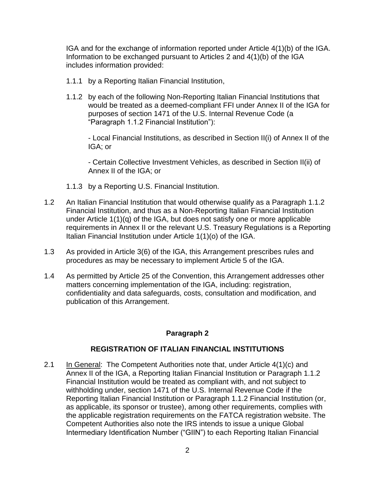IGA and for the exchange of information reported under Article 4(1)(b) of the IGA. Information to be exchanged pursuant to Articles 2 and 4(1)(b) of the IGA includes information provided:

- 1.1.1 by a Reporting Italian Financial Institution,
- 1.1.2 by each of the following Non-Reporting Italian Financial Institutions that would be treated as a deemed-compliant FFI under Annex II of the IGA for purposes of section 1471 of the U.S. Internal Revenue Code (a "Paragraph 1.1.2 Financial Institution"):

- Local Financial Institutions, as described in Section II(i) of Annex II of the IGA; or

- Certain Collective Investment Vehicles, as described in Section II(ii) of Annex II of the IGA; or

- 1.1.3 by a Reporting U.S. Financial Institution.
- 1.2 An Italian Financial Institution that would otherwise qualify as a Paragraph 1.1.2 Financial Institution, and thus as a Non-Reporting Italian Financial Institution under Article 1(1)(q) of the IGA, but does not satisfy one or more applicable requirements in Annex II or the relevant U.S. Treasury Regulations is a Reporting Italian Financial Institution under Article 1(1)(o) of the IGA.
- 1.3 As provided in Article 3(6) of the IGA, this Arrangement prescribes rules and procedures as may be necessary to implement Article 5 of the IGA.
- 1.4 As permitted by Article 25 of the Convention, this Arrangement addresses other matters concerning implementation of the IGA, including: registration, confidentiality and data safeguards, costs, consultation and modification, and publication of this Arrangement.

# **Paragraph 2**

## **REGISTRATION OF ITALIAN FINANCIAL INSTITUTIONS**

2.1 In General: The Competent Authorities note that, under Article 4(1)(c) and Annex II of the IGA, a Reporting Italian Financial Institution or Paragraph 1.1.2 Financial Institution would be treated as compliant with, and not subject to withholding under, section 1471 of the U.S. Internal Revenue Code if the Reporting Italian Financial Institution or Paragraph 1.1.2 Financial Institution (or, as applicable, its sponsor or trustee), among other requirements, complies with the applicable registration requirements on the FATCA registration website. The Competent Authorities also note the IRS intends to issue a unique Global Intermediary Identification Number ("GIIN") to each Reporting Italian Financial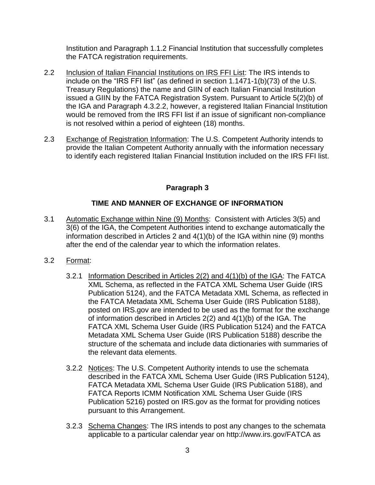Institution and Paragraph 1.1.2 Financial Institution that successfully completes the FATCA registration requirements.

- 2.2 Inclusion of Italian Financial Institutions on IRS FFI List: The IRS intends to include on the "IRS FFI list" (as defined in section 1.1471-1(b)(73) of the U.S. Treasury Regulations) the name and GIIN of each Italian Financial Institution issued a GIIN by the FATCA Registration System. Pursuant to Article 5(2)(b) of the IGA and Paragraph 4.3.2.2, however, a registered Italian Financial Institution would be removed from the IRS FFI list if an issue of significant non-compliance is not resolved within a period of eighteen (18) months.
- 2.3 Exchange of Registration Information: The U.S. Competent Authority intends to provide the Italian Competent Authority annually with the information necessary to identify each registered Italian Financial Institution included on the IRS FFI list.

## **Paragraph 3**

### **TIME AND MANNER OF EXCHANGE OF INFORMATION**

- 3.1 Automatic Exchange within Nine (9) Months: Consistent with Articles 3(5) and 3(6) of the IGA, the Competent Authorities intend to exchange automatically the information described in Articles 2 and 4(1)(b) of the IGA within nine (9) months after the end of the calendar year to which the information relates.
- 3.2 Format:
	- 3.2.1 Information Described in Articles 2(2) and 4(1)(b) of the IGA: The FATCA XML Schema, as reflected in the FATCA XML Schema User Guide (IRS Publication 5124), and the FATCA Metadata XML Schema, as reflected in the FATCA Metadata XML Schema User Guide (IRS Publication 5188), posted on IRS.gov are intended to be used as the format for the exchange of information described in Articles 2(2) and 4(1)(b) of the IGA. The FATCA XML Schema User Guide (IRS Publication 5124) and the FATCA Metadata XML Schema User Guide (IRS Publication 5188) describe the structure of the schemata and include data dictionaries with summaries of the relevant data elements.
	- 3.2.2 Notices: The U.S. Competent Authority intends to use the schemata described in the FATCA XML Schema User Guide (IRS Publication 5124), FATCA Metadata XML Schema User Guide (IRS Publication 5188), and FATCA Reports ICMM Notification XML Schema User Guide (IRS Publication 5216) posted on IRS.gov as the format for providing notices pursuant to this Arrangement.
	- 3.2.3 Schema Changes: The IRS intends to post any changes to the schemata applicable to a particular calendar year on http://www.irs.gov/FATCA as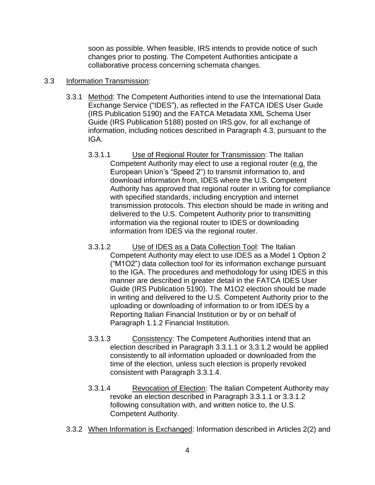soon as possible. When feasible, IRS intends to provide notice of such changes prior to posting. The Competent Authorities anticipate a collaborative process concerning schemata changes.

### 3.3 Information Transmission:

- 3.3.1 Method: The Competent Authorities intend to use the International Data Exchange Service ("IDES"), as reflected in the FATCA IDES User Guide (IRS Publication 5190) and the FATCA Metadata XML Schema User Guide (IRS Publication 5188) posted on IRS.gov, for all exchange of information, including notices described in Paragraph 4.3, pursuant to the IGA.
	- 3.3.1.1 Use of Regional Router for Transmission: The Italian Competent Authority may elect to use a regional router (e.g. the European Union's "Speed 2") to transmit information to, and download information from, IDES where the U.S. Competent Authority has approved that regional router in writing for compliance with specified standards, including encryption and internet transmission protocols. This election should be made in writing and delivered to the U.S. Competent Authority prior to transmitting information via the regional router to IDES or downloading information from IDES via the regional router.
	- 3.3.1.2 Use of IDES as a Data Collection Tool: The Italian Competent Authority may elect to use IDES as a Model 1 Option 2 ("M1O2") data collection tool for its information exchange pursuant to the IGA. The procedures and methodology for using IDES in this manner are described in greater detail in the FATCA IDES User Guide (IRS Publication 5190). The M1O2 election should be made in writing and delivered to the U.S. Competent Authority prior to the uploading or downloading of information to or from IDES by a Reporting Italian Financial Institution or by or on behalf of Paragraph 1.1.2 Financial Institution.
	- 3.3.1.3 Consistency: The Competent Authorities intend that an election described in Paragraph 3.3.1.1 or 3.3.1.2 would be applied consistently to all information uploaded or downloaded from the time of the election, unless such election is properly revoked consistent with Paragraph 3.3.1.4.
	- 3.3.1.4 Revocation of Election: The Italian Competent Authority may revoke an election described in Paragraph 3.3.1.1 or 3.3.1.2 following consultation with, and written notice to, the U.S. Competent Authority.
- 3.3.2 When Information is Exchanged: Information described in Articles 2(2) and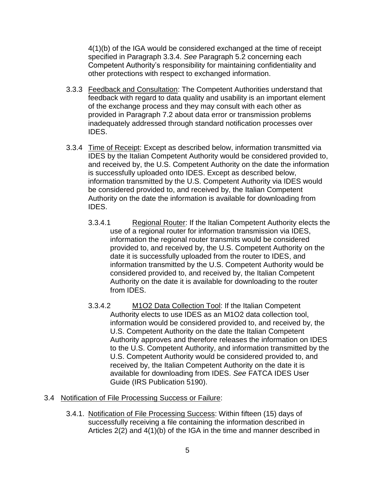4(1)(b) of the IGA would be considered exchanged at the time of receipt specified in Paragraph 3.3.4. *See* Paragraph 5.2 concerning each Competent Authority's responsibility for maintaining confidentiality and other protections with respect to exchanged information.

- 3.3.3 Feedback and Consultation: The Competent Authorities understand that feedback with regard to data quality and usability is an important element of the exchange process and they may consult with each other as provided in Paragraph 7.2 about data error or transmission problems inadequately addressed through standard notification processes over IDES.
- 3.3.4 Time of Receipt: Except as described below, information transmitted via IDES by the Italian Competent Authority would be considered provided to, and received by, the U.S. Competent Authority on the date the information is successfully uploaded onto IDES. Except as described below, information transmitted by the U.S. Competent Authority via IDES would be considered provided to, and received by, the Italian Competent Authority on the date the information is available for downloading from IDES.
	- 3.3.4.1 Regional Router: If the Italian Competent Authority elects the use of a regional router for information transmission via IDES, information the regional router transmits would be considered provided to, and received by, the U.S. Competent Authority on the date it is successfully uploaded from the router to IDES, and information transmitted by the U.S. Competent Authority would be considered provided to, and received by, the Italian Competent Authority on the date it is available for downloading to the router from IDES.
	- 3.3.4.2 M1O2 Data Collection Tool: If the Italian Competent Authority elects to use IDES as an M1O2 data collection tool, information would be considered provided to, and received by, the U.S. Competent Authority on the date the Italian Competent Authority approves and therefore releases the information on IDES to the U.S. Competent Authority, and information transmitted by the U.S. Competent Authority would be considered provided to, and received by, the Italian Competent Authority on the date it is available for downloading from IDES. *See* FATCA IDES User Guide (IRS Publication 5190).
- 3.4 Notification of File Processing Success or Failure:
	- 3.4.1. Notification of File Processing Success: Within fifteen (15) days of successfully receiving a file containing the information described in Articles 2(2) and 4(1)(b) of the IGA in the time and manner described in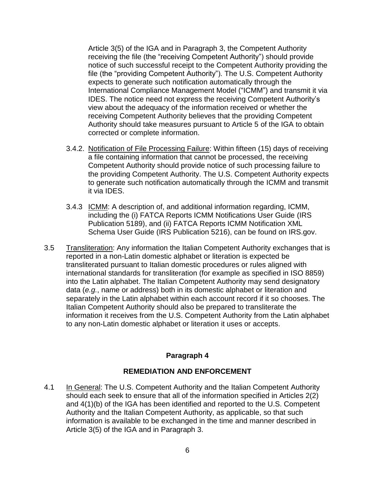Article 3(5) of the IGA and in Paragraph 3, the Competent Authority receiving the file (the "receiving Competent Authority") should provide notice of such successful receipt to the Competent Authority providing the file (the "providing Competent Authority"). The U.S. Competent Authority expects to generate such notification automatically through the International Compliance Management Model ("ICMM") and transmit it via IDES. The notice need not express the receiving Competent Authority's view about the adequacy of the information received or whether the receiving Competent Authority believes that the providing Competent Authority should take measures pursuant to Article 5 of the IGA to obtain corrected or complete information.

- 3.4.2. Notification of File Processing Failure: Within fifteen (15) days of receiving a file containing information that cannot be processed, the receiving Competent Authority should provide notice of such processing failure to the providing Competent Authority. The U.S. Competent Authority expects to generate such notification automatically through the ICMM and transmit it via IDES.
- 3.4.3 ICMM: A description of, and additional information regarding, ICMM, including the (i) FATCA Reports ICMM Notifications User Guide (IRS Publication 5189), and (ii) FATCA Reports ICMM Notification XML Schema User Guide (IRS Publication 5216), can be found on IRS.gov.
- 3.5 Transliteration: Any information the Italian Competent Authority exchanges that is reported in a non-Latin domestic alphabet or literation is expected be transliterated pursuant to Italian domestic procedures or rules aligned with international standards for transliteration (for example as specified in ISO 8859) into the Latin alphabet. The Italian Competent Authority may send designatory data (*e.g.*, name or address) both in its domestic alphabet or literation and separately in the Latin alphabet within each account record if it so chooses. The Italian Competent Authority should also be prepared to transliterate the information it receives from the U.S. Competent Authority from the Latin alphabet to any non-Latin domestic alphabet or literation it uses or accepts.

## **Paragraph 4**

## **REMEDIATION AND ENFORCEMENT**

4.1 In General: The U.S. Competent Authority and the Italian Competent Authority should each seek to ensure that all of the information specified in Articles 2(2) and 4(1)(b) of the IGA has been identified and reported to the U.S. Competent Authority and the Italian Competent Authority, as applicable, so that such information is available to be exchanged in the time and manner described in Article 3(5) of the IGA and in Paragraph 3.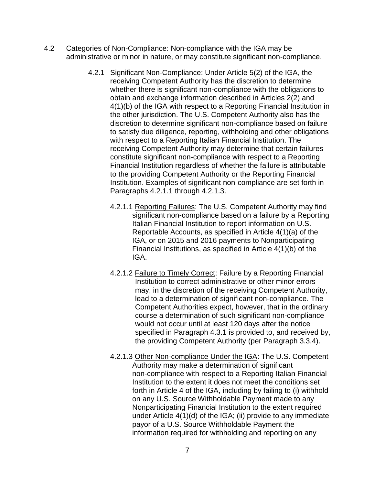- 4.2 Categories of Non-Compliance: Non-compliance with the IGA may be administrative or minor in nature, or may constitute significant non-compliance.
	- 4.2.1 Significant Non-Compliance: Under Article 5(2) of the IGA, the receiving Competent Authority has the discretion to determine whether there is significant non-compliance with the obligations to obtain and exchange information described in Articles 2(2) and 4(1)(b) of the IGA with respect to a Reporting Financial Institution in the other jurisdiction. The U.S. Competent Authority also has the discretion to determine significant non-compliance based on failure to satisfy due diligence, reporting, withholding and other obligations with respect to a Reporting Italian Financial Institution. The receiving Competent Authority may determine that certain failures constitute significant non-compliance with respect to a Reporting Financial Institution regardless of whether the failure is attributable to the providing Competent Authority or the Reporting Financial Institution. Examples of significant non-compliance are set forth in Paragraphs 4.2.1.1 through 4.2.1.3.
		- 4.2.1.1 Reporting Failures: The U.S. Competent Authority may find significant non-compliance based on a failure by a Reporting Italian Financial Institution to report information on U.S. Reportable Accounts, as specified in Article 4(1)(a) of the IGA, or on 2015 and 2016 payments to Nonparticipating Financial Institutions, as specified in Article 4(1)(b) of the IGA.
		- 4.2.1.2 Failure to Timely Correct: Failure by a Reporting Financial Institution to correct administrative or other minor errors may, in the discretion of the receiving Competent Authority, lead to a determination of significant non-compliance. The Competent Authorities expect, however, that in the ordinary course a determination of such significant non-compliance would not occur until at least 120 days after the notice specified in Paragraph 4.3.1 is provided to, and received by, the providing Competent Authority (per Paragraph 3.3.4).
		- 4.2.1.3 Other Non-compliance Under the IGA: The U.S. Competent Authority may make a determination of significant non-compliance with respect to a Reporting Italian Financial Institution to the extent it does not meet the conditions set forth in Article 4 of the IGA, including by failing to (i) withhold on any U.S. Source Withholdable Payment made to any Nonparticipating Financial Institution to the extent required under Article 4(1)(d) of the IGA; (ii) provide to any immediate payor of a U.S. Source Withholdable Payment the information required for withholding and reporting on any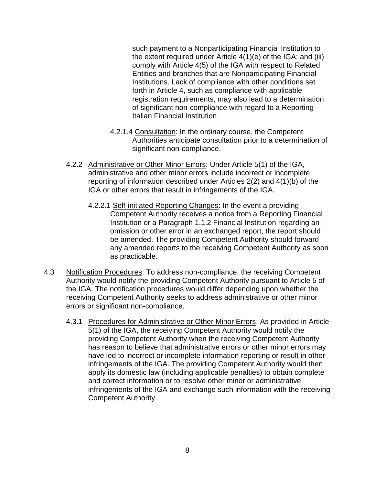such payment to a Nonparticipating Financial Institution to the extent required under Article 4(1)(e) of the IGA; and (iii) comply with Article 4(5) of the IGA with respect to Related Entities and branches that are Nonparticipating Financial Institutions. Lack of compliance with other conditions set forth in Article 4, such as compliance with applicable registration requirements, may also lead to a determination of significant non-compliance with regard to a Reporting Italian Financial Institution.

- 4.2.1.4 Consultation: In the ordinary course, the Competent Authorities anticipate consultation prior to a determination of significant non-compliance.
- 4.2.2 Administrative or Other Minor Errors: Under Article 5(1) of the IGA, administrative and other minor errors include incorrect or incomplete reporting of information described under Articles 2(2) and 4(1)(b) of the IGA or other errors that result in infringements of the IGA.
	- 4.2.2.1 Self-initiated Reporting Changes: In the event a providing Competent Authority receives a notice from a Reporting Financial Institution or a Paragraph 1.1.2 Financial Institution regarding an omission or other error in an exchanged report, the report should be amended. The providing Competent Authority should forward any amended reports to the receiving Competent Authority as soon as practicable.
- 4.3 Notification Procedures: To address non-compliance, the receiving Competent Authority would notify the providing Competent Authority pursuant to Article 5 of the IGA. The notification procedures would differ depending upon whether the receiving Competent Authority seeks to address administrative or other minor errors or significant non-compliance.
	- 4.3.1 Procedures for Administrative or Other Minor Errors: As provided in Article 5(1) of the IGA, the receiving Competent Authority would notify the providing Competent Authority when the receiving Competent Authority has reason to believe that administrative errors or other minor errors may have led to incorrect or incomplete information reporting or result in other infringements of the IGA. The providing Competent Authority would then apply its domestic law (including applicable penalties) to obtain complete and correct information or to resolve other minor or administrative infringements of the IGA and exchange such information with the receiving Competent Authority.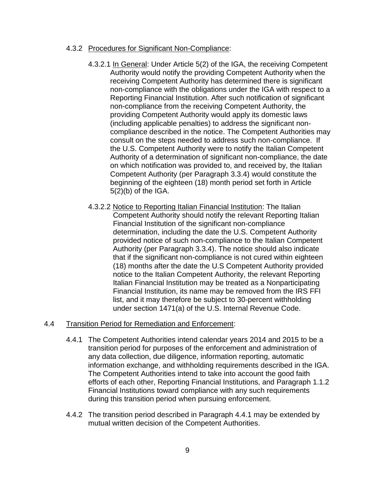### 4.3.2 Procedures for Significant Non-Compliance:

- 4.3.2.1 In General: Under Article 5(2) of the IGA, the receiving Competent Authority would notify the providing Competent Authority when the receiving Competent Authority has determined there is significant non-compliance with the obligations under the IGA with respect to a Reporting Financial Institution. After such notification of significant non-compliance from the receiving Competent Authority, the providing Competent Authority would apply its domestic laws (including applicable penalties) to address the significant noncompliance described in the notice. The Competent Authorities may consult on the steps needed to address such non-compliance. If the U.S. Competent Authority were to notify the Italian Competent Authority of a determination of significant non-compliance, the date on which notification was provided to, and received by, the Italian Competent Authority (per Paragraph 3.3.4) would constitute the beginning of the eighteen (18) month period set forth in Article 5(2)(b) of the IGA.
- 4.3.2.2 Notice to Reporting Italian Financial Institution: The Italian Competent Authority should notify the relevant Reporting Italian Financial Institution of the significant non-compliance determination, including the date the U.S. Competent Authority provided notice of such non-compliance to the Italian Competent Authority (per Paragraph 3.3.4). The notice should also indicate that if the significant non-compliance is not cured within eighteen (18) months after the date the U.S Competent Authority provided notice to the Italian Competent Authority, the relevant Reporting Italian Financial Institution may be treated as a Nonparticipating Financial Institution, its name may be removed from the IRS FFI list, and it may therefore be subject to 30-percent withholding under section 1471(a) of the U.S. Internal Revenue Code.

### 4.4 Transition Period for Remediation and Enforcement:

- 4.4.1 The Competent Authorities intend calendar years 2014 and 2015 to be a transition period for purposes of the enforcement and administration of any data collection, due diligence, information reporting, automatic information exchange, and withholding requirements described in the IGA. The Competent Authorities intend to take into account the good faith efforts of each other, Reporting Financial Institutions, and Paragraph 1.1.2 Financial Institutions toward compliance with any such requirements during this transition period when pursuing enforcement.
- 4.4.2 The transition period described in Paragraph 4.4.1 may be extended by mutual written decision of the Competent Authorities.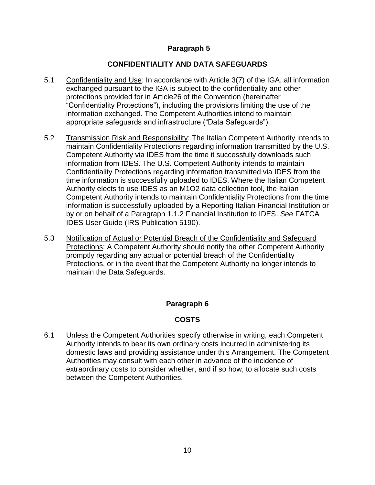## **Paragraph 5**

## **CONFIDENTIALITY AND DATA SAFEGUARDS**

- 5.1 Confidentiality and Use: In accordance with Article 3(7) of the IGA, all information exchanged pursuant to the IGA is subject to the confidentiality and other protections provided for in Article26 of the Convention (hereinafter "Confidentiality Protections"), including the provisions limiting the use of the information exchanged. The Competent Authorities intend to maintain appropriate safeguards and infrastructure ("Data Safeguards").
- 5.2 Transmission Risk and Responsibility: The Italian Competent Authority intends to maintain Confidentiality Protections regarding information transmitted by the U.S. Competent Authority via IDES from the time it successfully downloads such information from IDES. The U.S. Competent Authority intends to maintain Confidentiality Protections regarding information transmitted via IDES from the time information is successfully uploaded to IDES. Where the Italian Competent Authority elects to use IDES as an M1O2 data collection tool, the Italian Competent Authority intends to maintain Confidentiality Protections from the time information is successfully uploaded by a Reporting Italian Financial Institution or by or on behalf of a Paragraph 1.1.2 Financial Institution to IDES. *See* FATCA IDES User Guide (IRS Publication 5190).
- 5.3 Notification of Actual or Potential Breach of the Confidentiality and Safeguard Protections: A Competent Authority should notify the other Competent Authority promptly regarding any actual or potential breach of the Confidentiality Protections, or in the event that the Competent Authority no longer intends to maintain the Data Safeguards.

# **Paragraph 6**

## **COSTS**

6.1 Unless the Competent Authorities specify otherwise in writing, each Competent Authority intends to bear its own ordinary costs incurred in administering its domestic laws and providing assistance under this Arrangement. The Competent Authorities may consult with each other in advance of the incidence of extraordinary costs to consider whether, and if so how, to allocate such costs between the Competent Authorities.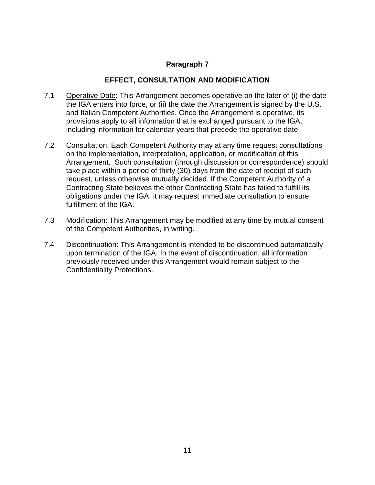### **Paragraph 7**

### **EFFECT, CONSULTATION AND MODIFICATION**

- 7.1 Operative Date: This Arrangement becomes operative on the later of (i) the date the IGA enters into force, or (ii) the date the Arrangement is signed by the U.S. and Italian Competent Authorities. Once the Arrangement is operative, its provisions apply to all information that is exchanged pursuant to the IGA, including information for calendar years that precede the operative date.
- 7.2 Consultation: Each Competent Authority may at any time request consultations on the implementation, interpretation, application, or modification of this Arrangement. Such consultation (through discussion or correspondence) should take place within a period of thirty (30) days from the date of receipt of such request, unless otherwise mutually decided. If the Competent Authority of a Contracting State believes the other Contracting State has failed to fulfill its obligations under the IGA, it may request immediate consultation to ensure fulfillment of the IGA.
- 7.3 Modification: This Arrangement may be modified at any time by mutual consent of the Competent Authorities, in writing.
- 7.4 Discontinuation: This Arrangement is intended to be discontinued automatically upon termination of the IGA. In the event of discontinuation, all information previously received under this Arrangement would remain subject to the Confidentiality Protections.